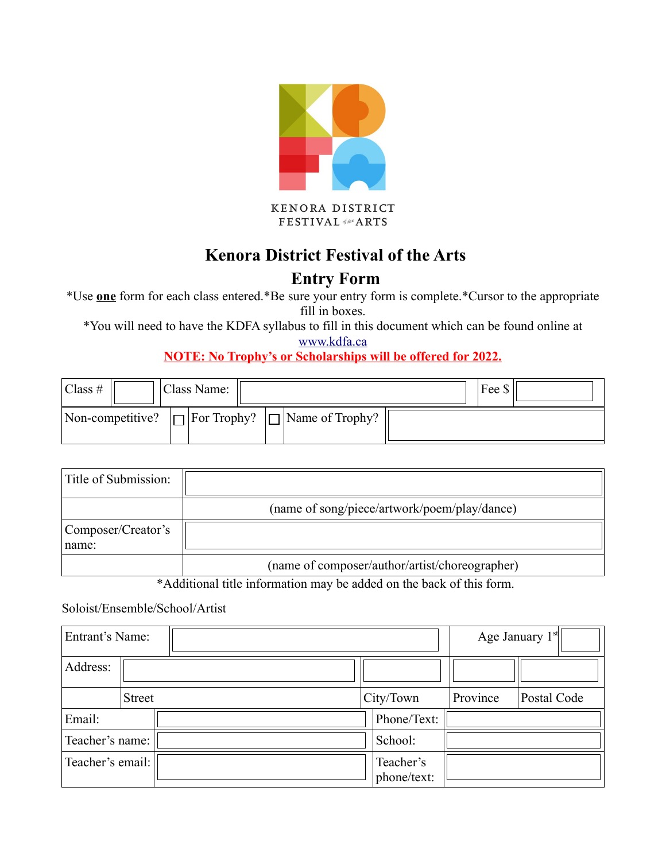

KENORA DISTRICT FESTIVAL of the ARTS

# **Kenora District Festival of the Arts**

## **Entry Form**

\*Use **one** form for each class entered.\*Be sure your entry form is complete.\*Cursor to the appropriate fill in boxes.

\*You will need to have the KDFA syllabus to fill in this document which can be found online at

[www.kdfa.ca](http://www.kdfa.ca/) 

**NOTE: No Trophy's or Scholarships will be offered for 2022.**

| $Class \#$ |                  | Class Name:               |                        | Fee \$ |  |
|------------|------------------|---------------------------|------------------------|--------|--|
|            | Non-competitive? | $\Box$ For Trophy? $\Box$ | $\Box$ Name of Trophy? |        |  |

| Title of Submission:        |                                                |
|-----------------------------|------------------------------------------------|
|                             | (name of song/piece/artwork/poem/play/dance)   |
| Composer/Creator's<br>name: |                                                |
|                             | (name of composer/author/artist/choreographer) |

\*Additional title information may be added on the back of this form.

#### Soloist/Ensemble/School/Artist

| Entrant's Name:  |               |  |  |  | Age January $1st$        |          |             |  |
|------------------|---------------|--|--|--|--------------------------|----------|-------------|--|
| Address:         |               |  |  |  |                          |          |             |  |
|                  | <b>Street</b> |  |  |  | City/Town                | Province | Postal Code |  |
| Email:           |               |  |  |  | Phone/Text:              |          |             |  |
| Teacher's name:  |               |  |  |  | School:                  |          |             |  |
| Teacher's email: |               |  |  |  | Teacher's<br>phone/text: |          |             |  |